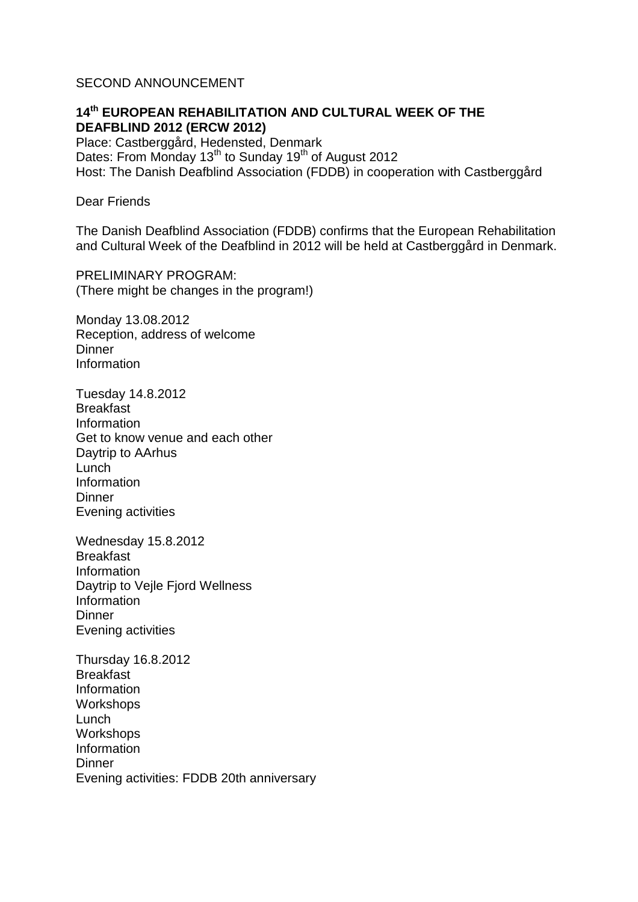# SECOND ANNOUNCEMENT

# **14th EUROPEAN REHABILITATION AND CULTURAL WEEK OF THE DEAFBLIND 2012 (ERCW 2012)**

Place: Castberggård, Hedensted, Denmark Dates: From Monday 13<sup>th</sup> to Sunday 19<sup>th</sup> of August 2012 Host: The Danish Deafblind Association (FDDB) in cooperation with Castberggård

### Dear Friends

The Danish Deafblind Association (FDDB) confirms that the European Rehabilitation and Cultural Week of the Deafblind in 2012 will be held at Castberggård in Denmark.

PRELIMINARY PROGRAM: (There might be changes in the program!)

Monday 13.08.2012 Reception, address of welcome **Dinner** Information

Tuesday 14.8.2012 Breakfast Information Get to know venue and each other Daytrip to AArhus Lunch Information **Dinner** Evening activities

Wednesday 15.8.2012 Breakfast Information Daytrip to Vejle Fjord Wellness Information **Dinner** Evening activities

Thursday 16.8.2012 **Breakfast** Information **Workshops** Lunch **Workshops** Information **Dinner** Evening activities: FDDB 20th anniversary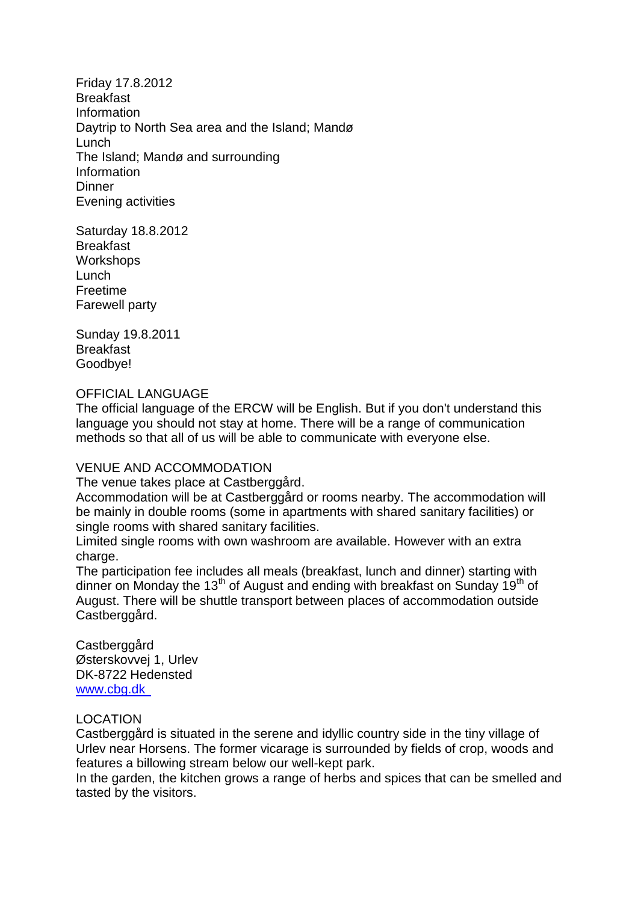Friday 17.8.2012 Breakfast Information Daytrip to North Sea area and the Island; Mandø Lunch The Island; Mandø and surrounding Information **Dinner** Evening activities

Saturday 18.8.2012 Breakfast Workshops Lunch Freetime Farewell party

Sunday 19.8.2011 **Breakfast** Goodbye!

## OFFICIAL LANGUAGE

The official language of the ERCW will be English. But if you don't understand this language you should not stay at home. There will be a range of communication methods so that all of us will be able to communicate with everyone else.

### VENUE AND ACCOMMODATION

The venue takes place at Castberggård.

Accommodation will be at Castberggård or rooms nearby. The accommodation will be mainly in double rooms (some in apartments with shared sanitary facilities) or single rooms with shared sanitary facilities.

Limited single rooms with own washroom are available. However with an extra charge.

The participation fee includes all meals (breakfast, lunch and dinner) starting with dinner on Monday the 13<sup>th</sup> of August and ending with breakfast on Sunday 19<sup>th</sup> of August. There will be shuttle transport between places of accommodation outside Castberggård.

Castberggård Østerskovvej 1, Urlev DK-8722 Hedensted [www.cbg.dk](http://www.onnela.com/) 

### LOCATION

Castberggård is situated in the serene and idyllic country side in the tiny village of Urlev near Horsens. The former vicarage is surrounded by fields of crop, woods and features a billowing stream below our well-kept park.

In the garden, the kitchen grows a range of herbs and spices that can be smelled and tasted by the visitors.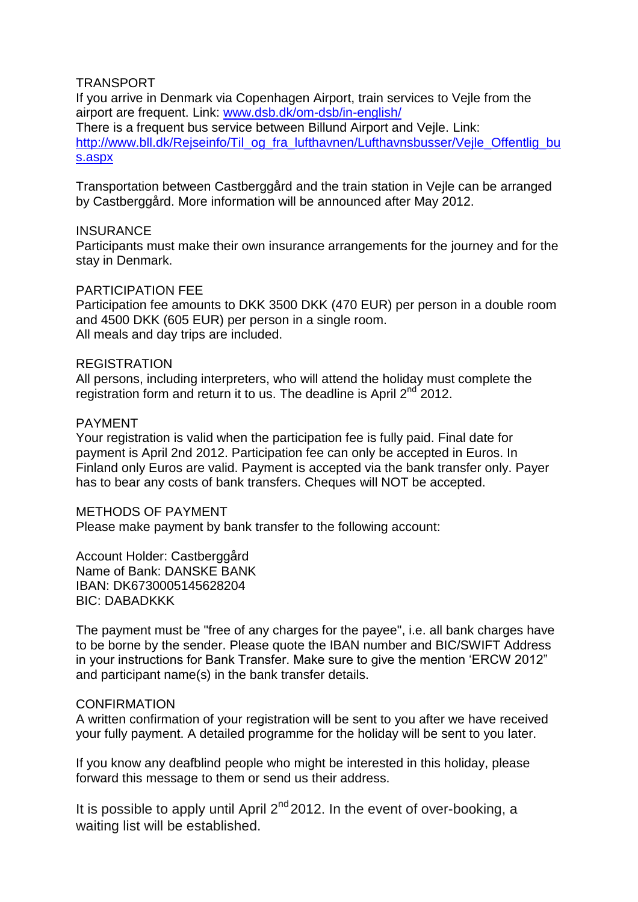# **TRANSPORT**

If you arrive in Denmark via Copenhagen Airport, train services to Vejle from the airport are frequent. Link: [www.dsb.dk/om-dsb/in-english/](http://www.dsb.dk/om-dsb/in-english/) There is a frequent bus service between Billund Airport and Vejle. Link: [http://www.bll.dk/Rejseinfo/Til\\_og\\_fra\\_lufthavnen/Lufthavnsbusser/Vejle\\_Offentlig\\_bu](http://www.bll.dk/Rejseinfo/Til_og_fra_lufthavnen/Lufthavnsbusser/Vejle_Offentlig_bus.aspx) [s.aspx](http://www.bll.dk/Rejseinfo/Til_og_fra_lufthavnen/Lufthavnsbusser/Vejle_Offentlig_bus.aspx)

Transportation between Castberggård and the train station in Vejle can be arranged by Castberggård. More information will be announced after May 2012.

### **INSURANCE**

Participants must make their own insurance arrangements for the journey and for the stay in Denmark.

### PARTICIPATION FEE

Participation fee amounts to DKK 3500 DKK (470 EUR) per person in a double room and 4500 DKK (605 EUR) per person in a single room. All meals and day trips are included.

### REGISTRATION

All persons, including interpreters, who will attend the holiday must complete the registration form and return it to us. The deadline is April  $2^{nd}$  2012.

### PAYMENT

Your registration is valid when the participation fee is fully paid. Final date for payment is April 2nd 2012. Participation fee can only be accepted in Euros. In Finland only Euros are valid. Payment is accepted via the bank transfer only. Payer has to bear any costs of bank transfers. Cheques will NOT be accepted.

METHODS OF PAYMENT

Please make payment by bank transfer to the following account:

Account Holder: Castberggård Name of Bank: DANSKE BANK IBAN: DK6730005145628204 BIC: DABADKKK

The payment must be "free of any charges for the payee", i.e. all bank charges have to be borne by the sender. Please quote the IBAN number and BIC/SWIFT Address in your instructions for Bank Transfer. Make sure to give the mention 'ERCW 2012" and participant name(s) in the bank transfer details.

### **CONFIRMATION**

A written confirmation of your registration will be sent to you after we have received your fully payment. A detailed programme for the holiday will be sent to you later.

If you know any deafblind people who might be interested in this holiday, please forward this message to them or send us their address.

It is possible to apply until April  $2^{nd}$  2012. In the event of over-booking, a waiting list will be established.